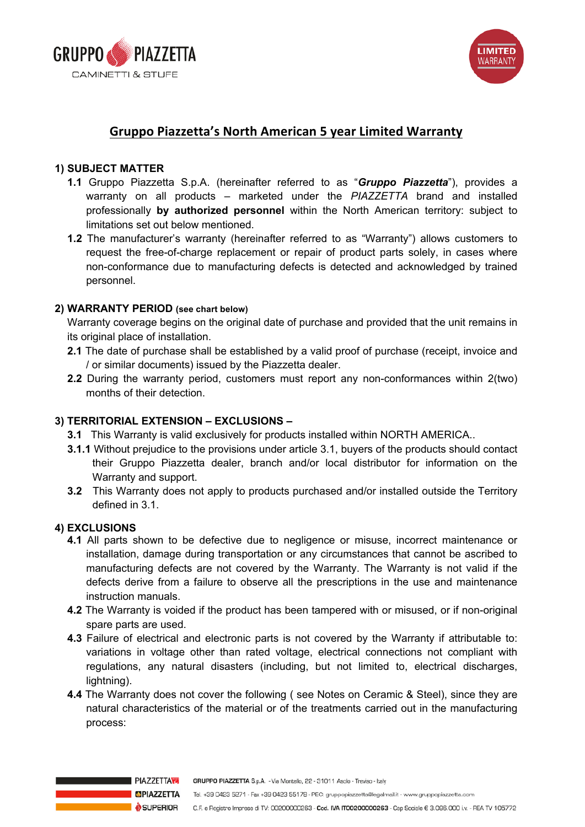



## **Gruppo Piazzetta's North American 5 year Limited Warranty**

### **1) SUBJECT MATTER**

- **1.1** Gruppo Piazzetta S.p.A. (hereinafter referred to as "**Gruppo Piazzetta**"), provides a warranty on all products – marketed under the *PIAZZETTA* brand and installed professionally by authorized personnel within the North American territory: subject to limitations set out below mentioned. products – marketed under the *PIAZZETTA* brand and installed professionally **by authorized personnel**
	- minications set out below mentioned.<br>**1.2** The manufacturer's warranty (hereinafter referred to as "Warranty") allows customers to request the free-of-charge replacement or repair of product parts solely, in cases where non-conformance due to manufacturing defects is detected and acknowledged by trained **1.2** The Manufacturer's warranty (neremaliter referred to as Avarranty) personnel. Trained personnel. **1.2** The manufacturer's warranty (hereinafter referred to as "Warranty") allows customers to

#### **2) WARRANTY PERIOD (see chart below) 2) WARRANTY PERIOD (see chart below)**

Warranty coverage begins on the original date of purchase and provided that the unit remains in its original place of installation.

- **2.2** The date of purchase shall be established by a valid proof of purchase (receipt, invoice and / or 2.1 The date of purchase shall be established by a valid proof of purchase (receipt, invoice and **2.3** During the warranty period, customers must report any non-conformal continuous with 2 (two) monor with 2 (two / or similar documents) issued by the Piazzetta dealer.
- **z.z** Dunng in 2.2 During the warranty period, customers must report any non-conformances within 2(two) months of their detection. their detection. their detection.

## 3) **TERRITORIAL EXTENSION – EXCLUSIONS 3) TERRITORIAL EXTENSION – EXCLUSIONS –**

- **3.1** This Warranty is valid exclusively for products installed within NORTH AMERICA..
- 3.1.1 Without prejudice to the provisions under article 3.1, buyers of the products should contact **3.1.1** Without prejudice to the provisions under article 3.1, buyers of the products should contact their their Gruppo Piazzetta dealer, branch and/or local distributor for information on the **3.2** The Superstand apply to product superstand and  $\alpha$  installed outside the Territory defined in  $\alpha$ Warranty and support.
	- 3.2 This Warranty does not apply to products purchased and/or installed outside the Territ **3.2** This Warranty does not apply to products purchased and/or installed outside the Territory defined in section 3.1. 22 This Warranty does not annly to products purchased and/or installed outside the **3.2** This Warranty does not apply to products purchased and/or installed outside the Territory defined in 2.1 section 3.1. defined in 3.1.

### **4) EXCLUSIONS**

- **4.1** All parts shown to be defective due to negligence or misuse, incorrect maintenance or installation, damage during transportation or any circumstances that cannot be ascribed to manufacturing defects are not covered by the Warranty. The Warranty is not valid if the defects derive from a failure to observe all the prescriptions in the use and maintenance instruction manuals. The use and maintenance instruction manuals. denote during transportation or any control or any complete that can no declare manufacturing **4.1** All parts shown to be defective due to negligence or misuse, incorrect maintenance or installation, defects derive from a failure to observe all the prescriptions in the use and maintenance are not covered by the Warranty is not valid if the Warranty is not valid if the defects derive from a failure
	- are motion maridals.<br>**4.2** The Warranty is voided if the product has been tampered with or misused, or if non-original spare parts are used. The set of the set of the set of the set of the set of the set of the set of the set of the set of the set of the set of the set of the set of the set of the set of the set of the set of the set of th **4.2** The wall and is volued in the product has been tampered w **4.2** The Warranty is voided if the product has been tampered with or misused, or if non-original
	- 4.3 Failure of electrical and electronic parts is not covered by the Warranty if attributable to: variations in voltage other than rated voltage, electrical connections not compliant with regulations, any natural disasters (including, but not limited to, electrical discharges, **4.4** The Warranty does not cover the following (  $\frac{1}{2}$  see Notes on Ceramic & Steel), since the since the since the since the since the since the since the since the since the since the since the since the since the s dightning).
	- 4.4 The Warranty does not cover the following (see Notes on Ceramic & Steel), since they are natural characteristics of the material or of the treatments carried out in the manufacturing process: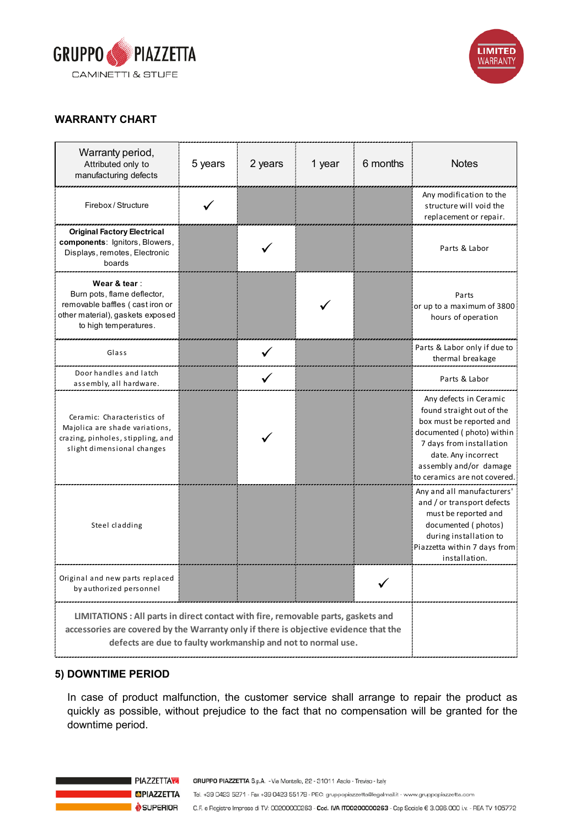



#### NORTH AMERICAN LIMITED WARRANTY WARRANTY **WARRANTY CHART**

| Warranty period,<br>Attributed only to<br>manufacturing defects                                                                                                                                                                           | 5 years | 2 years | 1 year | 6 months | <b>Notes</b>                                                                                                                                                                                                              |
|-------------------------------------------------------------------------------------------------------------------------------------------------------------------------------------------------------------------------------------------|---------|---------|--------|----------|---------------------------------------------------------------------------------------------------------------------------------------------------------------------------------------------------------------------------|
| Firebox / Structure                                                                                                                                                                                                                       |         |         |        |          | Any modification to the<br>structure will void the<br>replacement or repair.                                                                                                                                              |
| <b>Original Factory Electrical</b><br>components: Ignitors, Blowers,<br>Displays, remotes, Electronic<br>boards                                                                                                                           |         |         |        |          | Parts & Labor                                                                                                                                                                                                             |
| Wear & tear:<br>Burn pots, flame deflector,<br>removable baffles (cast iron or<br>other material), gaskets exposed<br>to high temperatures.                                                                                               |         |         |        |          | Parts<br>or up to a maximum of 3800<br>hours of operation                                                                                                                                                                 |
| Glass                                                                                                                                                                                                                                     |         |         |        |          | Parts & Labor only if due to<br>thermal breakage                                                                                                                                                                          |
| Door handles and latch<br>assembly, all hardware.                                                                                                                                                                                         |         |         |        |          | Parts & Labor                                                                                                                                                                                                             |
| Ceramic: Characteristics of<br>Majolica are shade variations,<br>crazing, pinholes, stippling, and<br>slight dimensional changes                                                                                                          |         |         |        |          | Any defects in Ceramic<br>found straight out of the<br>box must be reported and<br>documented (photo) within<br>7 days from installation<br>date. Any incorrect<br>assembly and/or damage<br>to ceramics are not covered. |
| Steel cladding                                                                                                                                                                                                                            |         |         |        |          | Any and all manufacturers'<br>and / or transport defects<br>must be reported and<br>documented (photos)<br>during installation to<br>Piazzetta within 7 days from<br>installation.                                        |
| Original and new parts replaced<br>by authorized personnel                                                                                                                                                                                |         |         |        |          |                                                                                                                                                                                                                           |
| LIMITATIONS : All parts in direct contact with fire, removable parts, gaskets and<br>accessories are covered by the Warranty only if there is objective evidence that the<br>defects are due to faulty workmanship and not to normal use. |         |         |        |          |                                                                                                                                                                                                                           |

#### 5) DOWNTIME PERIOD  $\sim$  containt than rated voltage, electrical connections not compliant with regulations, and not connect  $\sim$ voltage other than rated voltage, electrical connections not compliant with regulations, any natural

In case of product malfunction, the customer service shall arrange to repair the product as quickly as possible, without prejudice to the fact that no compensation will be granted for the downtime period.

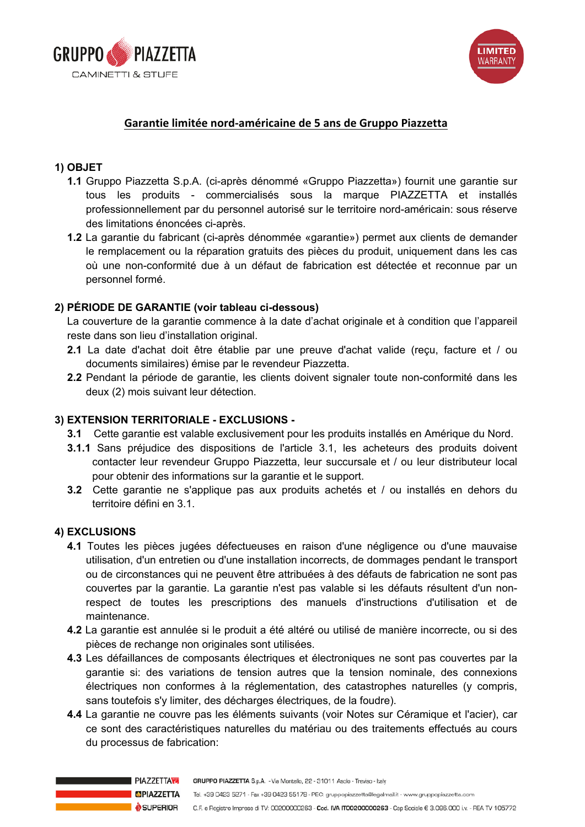



## **Garantie limitée nord-américaine de 5 ans de Gruppo Piazzetta**

### **1) OBJET**

- **1.1** Gruppo Piazzetta S.p.A. (ci-après dénommé «Gruppo Piazzetta») fournit une garantie sur tous les produits - commercialisés sous la marque PIAZZETTA et installés professionnellement par du personnel autorisé sur le territoire nord-américain: sous réserve<br>des limitatiere énergées si annèe des limitations énoncées ci-après. products – marketed under the *PIAZZETTA* brand and installed professionally **by authorized personnel**
	- acs immations choncees of apres.<br>**1.2** La garantie du fabricant (ci-après dénommée «garantie») permet aux clients de demander le remplacement ou la réparation gratuits des pièces du produit, uniquement dans les cas où une non-conformité due à un défaut de fabrication est détectée et reconnue par un **I.2** La garantie du fabricant (ci-après defiormitée «garantie») permet aux m personnel formé. **1.2** La garantie du fabricant (ci-après dénommée «garantie») permet aux clients de demander

# 2) **PÉRIODE DE GARANTIE** (voir tableau ci-dessous)

La couverture de la garantie commence à la date d'achat originale et à condition que l'appareil reste dans son lieu d'installation original.

- 2.1 La date d'achat doit être établie par une preuve d'achat valide (reçu, facture et / ou documents similaires) émise par le revendeur Piazzetta. **2.3** During the warranty period, customers must report any non-conformation of the within 2 (two) months of two
- $2.2$  religion. 2.2 Pendant la période de garantie, les clients doivent signaler toute non-conformité dans les deux (2) mois suivant leur détection. their detection.

# 3) **TERRITORIAL EXTENSION – EXCLUSIONS 3) EXTENSION TERRITORIALE - EXCLUSIONS -**

- **3.1** Cette garantie est valable exclusivement pour les produits installés en Amérique du Nord.
- 3.1.1 Sans préjudice des dispositions de l'article 3.1, les acheteurs des produits doivent **3.1.1.1** Without prejudice to the provisions under article 3.1, the provision of the products should contact the products should contact the products should contact the products should contact the products should contact contacter leur revendeur Gruppo Piazzetta, leur succursale et / ou leur distributeur local **3.2** This Warranty does not apply to products purchased and/or installed outside the Territory defined in pour obtenir des informations sur la garantie et le support.
	- 3.2 Cette garantie ne s'applique pas aux produits achetés et / ou installés en dehors du territoire défini en 3.1.

### **4) EXCLUSIONS**

- 4.1 Toutes les pièces jugées défectueuses en raison d'une négligence ou d'une mauvaise utilisation, d'un entretien ou d'une installation incorrects, de dommages pendant le transport ou de circonstances qui ne peuvent être attribuées à des défauts de fabrication ne sont pas couvertes par la garantie. La garantie n'est pas valable si les défauts résultent d'un nonrespect de toutes les prescriptions des manuals. d'i respect de toutes les prescriptions des manuels d'instructions d'utilisation et de<br>maintenance parts and used. maintenance instructions in the use and manuals.
	- 4.2 La garantie est annulée si le produit a été altéré ou utilisé de manière incorrecte, ou si des pièces de rechange non originales sont utilisées.
	- 4.3 Les défaillances de composants électriques et électroniques ne sont pas couvertes par la garantie si: des variations de tension autres que la tension nominale, des connexions électriques non conformes à la réglementation, des catastrophes naturelles garantie si: des variations de tension autres que la tension nominale, des connexions électriques non conformes à la réglementation, des catastrophes naturelles (y compris, **4.4** The Warranty does not cover the following ( see Notes on Ceramic & Steel), since they are natural care touristics of military actional or of the material or of the manufacturing process: **4.4** The Warranty does not cover the following ( see Notes on Ceramic & Steel), since they are natural sans toutefois s'y limiter, des décharges électriques, de la foudre).
		- **4.4** La garantie ne couvre pas les éléments suivants (voir Notes sur Céramique et l'acier), car ce sont des caractéristiques naturelles du matériau ou des traitements effectués au cours du processus de fabrication: